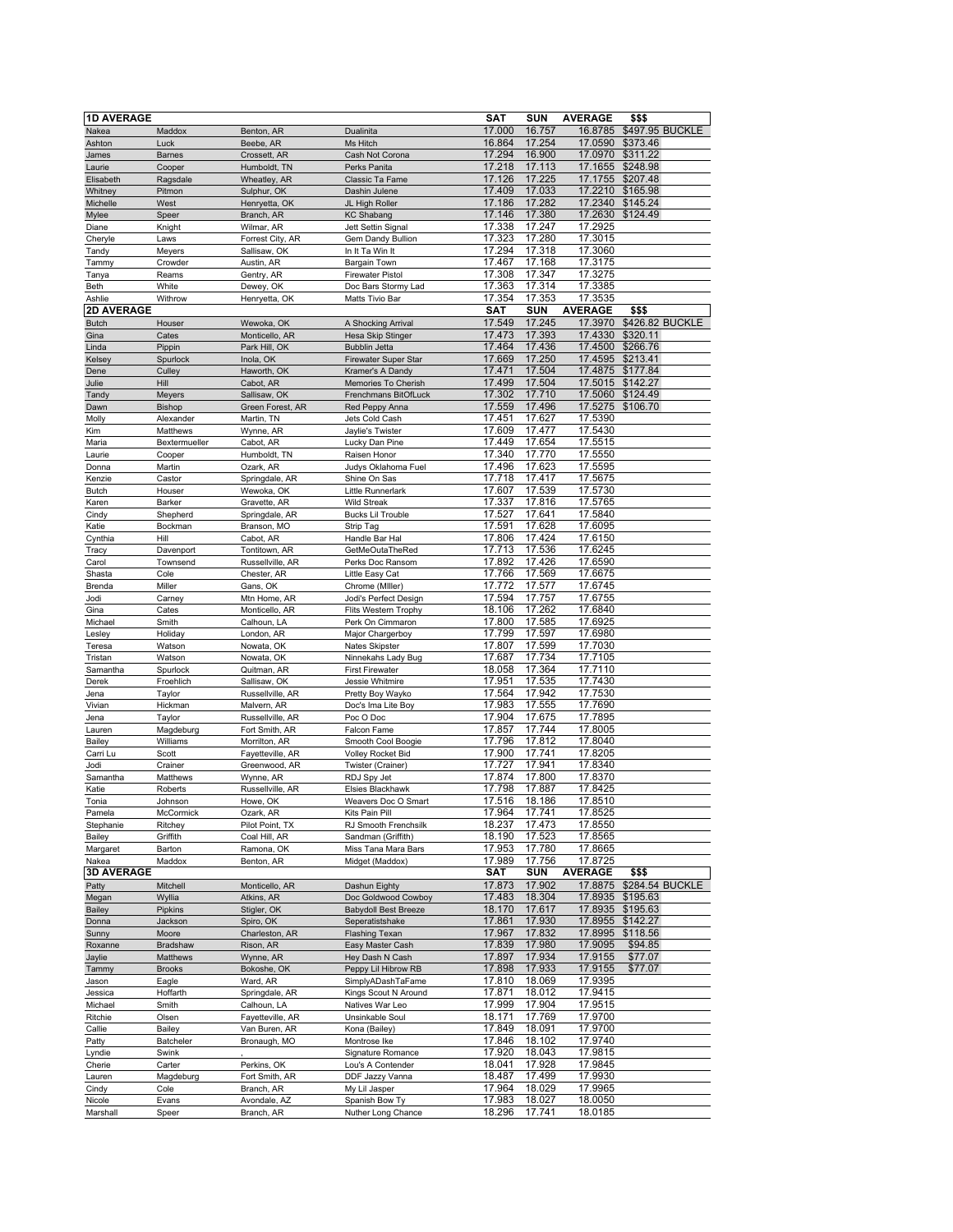| <b>1D AVERAGE</b> |                     |                                 |                                        | <b>SAT</b>       | <b>SUN</b>       | <b>AVERAGE</b>     | \$\$\$          |
|-------------------|---------------------|---------------------------------|----------------------------------------|------------------|------------------|--------------------|-----------------|
| Nakea             | Maddox              | Benton, AR                      | Dualinita                              | 17.000           | 16.757           | 16.8785            | \$497.95 BUCKLE |
| Ashton            | Luck                | Beebe, AR                       | Ms Hitch                               | 16.864           | 17.254           | 17.0590            | \$373.46        |
| James             | <b>Barnes</b>       | Crossett, AR                    | Cash Not Corona                        | 17.294           | 16.900           | 17.0970            | \$311.22        |
| Laurie            | Cooper              | Humboldt, TN                    | Perks Panita                           | 17.218           | 17.113           | 17.1655            | \$248.98        |
| Elisabeth         | Ragsdale            | Wheatley, AR                    | Classic Ta Fame                        | 17.126           | 17.225           | 17.1755            | \$207.48        |
| Whitney           | Pitmon              | Sulphur, OK                     | Dashin Julene                          | 17.409           | 17.033           | 17.2210            | \$165.98        |
| Michelle          | West                | Henryetta, OK                   | JL High Roller                         | 17.186           | 17.282           | 17.2340            | \$145.24        |
| Mylee             | Speer               | Branch, AR                      | <b>KC Shabang</b>                      | 17.146           | 17.380           | 17.2630            | \$124.49        |
| Diane             | Knight              | Wilmar, AR                      | Jett Settin Signal                     | 17.338           | 17.247           | 17.2925            |                 |
| Cheryle           | Laws                | Forrest City, AR                | Gem Dandy Bullion                      | 17.323           | 17.280           | 17.3015            |                 |
| Tandy             | Meyers              | Sallisaw, OK                    | In It Ta Win It                        | 17.294           | 17.318           | 17.3060            |                 |
| Tammy             | Crowder             | Austin, AR                      | Bargain Town                           | 17.467           | 17.168           | 17.3175            |                 |
| Tanya             | Reams               | Gentry, AR                      | <b>Firewater Pistol</b>                | 17.308           | 17.347           | 17.3275            |                 |
| <b>Beth</b>       | White               | Dewey, OK                       | Doc Bars Stormy Lad                    | 17.363           | 17.314           | 17.3385            |                 |
| Ashlie            | Withrow             | Henryetta, OK                   | Matts Tivio Bar                        | 17.354           | 17.353           | 17.3535            |                 |
| 2D AVERAGE        |                     |                                 |                                        | SAT              | <b>SUN</b>       | <b>AVERAGE</b>     | \$\$\$          |
| <b>Butch</b>      | Houser              | Wewoka, OK                      | A Shocking Arrival                     | 17.549           | 17.245           | 17.3970            | \$426.82 BUCKLE |
| Gina              | Cates               | Monticello, AR                  | Hesa Skip Stinger                      | 17.473           | 17.393           | 17.4330            | \$320.11        |
| Linda             | Pippin              | Park Hill, OK                   | <b>Bubblin Jetta</b>                   | 17.464           | 17.436           | 17.4500            | \$266.76        |
| Kelsey            | Spurlock            | Inola, OK                       | <b>Firewater Super Star</b>            | 17.669           | 17.250           | 17.4595            | \$213.41        |
| Dene              | Culley              | Haworth, OK                     | Kramer's A Dandy                       | 17.471           | 17.504           | 17.4875            | \$177.84        |
| Julie             | Hill                | Cabot, AR                       | Memories To Cherish                    | 17.499           | 17.504           | 17.5015            | \$142.27        |
| Tandy             | <b>Meyers</b>       | Sallisaw, OK                    | Frenchmans BitOfLuck                   | 17.302           | 17.710           | 17.5060            | \$124.49        |
| Dawn              | Bishop              | Green Forest, AR                | Red Peppy Anna                         | 17.559           | 17.496           | 17.5275            | \$106.70        |
| Molly             | Alexander           | Martin, TN                      | Jets Cold Cash                         | 17.451           | 17.627           | 17.5390            |                 |
| Kim               | Matthews            | Wynne, AR                       | Jaylie's Twister                       | 17.609           | 17.477           | 17.5430            |                 |
| Maria             | Bextermueller       | Cabot, AR                       | Lucky Dan Pine                         | 17.449           | 17.654           | 17.5515            |                 |
| Laurie            | Cooper              | Humboldt, TN                    | Raisen Honor                           | 17.340           | 17.770           | 17.5550            |                 |
| Donna             | Martin              | Ozark, AR                       | Judys Oklahoma Fuel                    | 17.496           | 17.623           | 17.5595            |                 |
| Kenzie            | Castor              | Springdale, AR                  | Shine On Sas                           | 17.718           | 17.417           | 17.5675            |                 |
| <b>Butch</b>      | Houser              | Wewoka, OK                      | Little Runnerlark                      | 17.607           | 17.539           | 17.5730            |                 |
| Karen             | Barker              | Gravette, AR                    | Wild Streak                            | 17.337           | 17.816           | 17.5765            |                 |
| Cindy             | Shepherd            | Springdale, AR                  | <b>Bucks Lil Trouble</b>               | 17.527           | 17.641           | 17.5840            |                 |
| Katie             | Bockman             | Branson, MO                     | Strip Tag                              | 17.591           | 17.628           | 17.6095            |                 |
| Cynthia           | Hill                | Cabot, AR                       | Handle Bar Hal                         | 17.806           | 17.424           | 17.6150            |                 |
| Tracy             | Davenport           | Tontitown, AR                   | GetMeOutaTheRed                        | 17.713           | 17.536           | 17.6245            |                 |
| Carol             | Townsend            | Russellville, AR                | Perks Doc Ransom                       | 17,892           | 17.426           | 17.6590            |                 |
| Shasta            | Cole                | Chester, AR                     | Little Easy Cat                        | 17.766           | 17.569           | 17.6675            |                 |
| Brenda            | Miller              | Gans, OK                        | Chrome (Miller)                        | 17.772           | 17.577           | 17.6745            |                 |
| Jodi              | Carney              | Mtn Home, AR                    | Jodi's Perfect Design                  | 17.594           | 17.757           | 17.6755            |                 |
| Gina              | Cates               | Monticello, AR                  | Flits Western Trophy                   | 18.106           | 17.262           | 17.6840            |                 |
| Michael           | Smith               | Calhoun, LA                     | Perk On Cimmaron                       | 17.800           | 17.585           | 17.6925            |                 |
| Lesley            | Holiday             | London, AR                      | Major Chargerboy                       | 17.799           | 17.597           | 17.6980            |                 |
| Teresa            | Watson              | Nowata, OK                      | Nates Skipster                         | 17.807           | 17.599           | 17.7030            |                 |
| Tristan           | Watson              | Nowata, OK                      | Ninnekahs Lady Bug                     | 17.687           | 17.734           | 17.7105            |                 |
| Samantha          | Spurlock            | Quitman, AR                     | <b>First Firewater</b>                 | 18.058<br>17.951 | 17.364<br>17.535 | 17.7110            |                 |
| Derek             | Froehlich           | Sallisaw, OK                    | Jessie Whitmire                        |                  | 17.942           | 17.7430            |                 |
| Jena<br>Vivian    | Taylor<br>Hickman   | Russellville, AR<br>Malvern, AR | Pretty Boy Wayko<br>Doc's Ima Lite Boy | 17.564<br>17.983 | 17.555           | 17.7530<br>17.7690 |                 |
|                   |                     | Russellville, AR                |                                        | 17.904           | 17.675           | 17.7895            |                 |
| Jena              | Taylor<br>Magdeburg | Fort Smith, AR                  | Poc O Doc<br>Falcon Fame               | 17.857           | 17.744           | 17.8005            |                 |
| Lauren<br>Bailey  | Williams            | Morrilton, AR                   | Smooth Cool Boogie                     | 17.796           | 17.812           | 17.8040            |                 |
| Carri Lu          | Scott               | Fayetteville, AR                | Volley Rocket Bid                      | 17.900           | 17.741           | 17.8205            |                 |
| Jodi              | Crainer             | Greenwood, AR                   | Twister (Crainer)                      | 17.727           | 17.941           | 17.8340            |                 |
| Samantha          | Matthews            | Wynne, AR                       | RDJ Spy Jet                            | 17.874           | 17.800           | 17.8370            |                 |
| Katie             | Roberts             | Russellville, AR                | Elsies Blackhawk                       | 17.798           | 17.887           | 17.8425            |                 |
| Tonia             | Johnson             | Howe, OK                        | Weavers Doc O Smart                    | 17.516           | 18.186           | 17.8510            |                 |
| Pamela            | McCormick           | Ozark, AR                       | Kits Pain Pill                         | 17.964           | 17.741           | 17.8525            |                 |
| Stephanie         | Ritchey             | Pilot Point, TX                 | RJ Smooth Frenchsilk                   | 18.237           | 17.473           | 17.8550            |                 |
| Bailey            | Griffith            | Coal Hill, AR                   | Sandman (Griffith)                     | 18.190           | 17.523           | 17.8565            |                 |
| Margaret          | Barton              | Ramona, OK                      | Miss Tana Mara Bars                    | 17.953           | 17.780           | 17.8665            |                 |
| Nakea             | Maddox              | Benton, AR                      | Midget (Maddox)                        | 17.989           | 17.756           | 17.8725            |                 |
| <b>3D AVERAGE</b> |                     |                                 |                                        | SAT              | <b>SUN</b>       | <b>AVERAGE</b>     | \$\$\$          |
| Patty             | Mitchell            | Monticello, AR                  | Dashun Eighty                          | 17.873           | 17.902           | 17.8875            | \$284.54 BUCKLE |
| Megan             | Wyllia              | Atkins, AR                      | Doc Goldwood Cowboy                    | 17.483           | 18.304           | 17.8935            | \$195.63        |
| <b>Bailey</b>     | Pipkins             | Stigler, OK                     | <b>Babydoll Best Breeze</b>            | 18.170           | 17.617           | 17.8935            | \$195.63        |
| Donna             | Jackson             | Spiro, OK                       | Seperatistshake                        | 17.861           | 17.930           | 17.8955            | \$142.27        |
| Sunny             | Moore               | Charleston, AR                  | <b>Flashing Texan</b>                  | 17.967           | 17.832           | 17.8995            | \$118.56        |
| Roxanne           | Bradshaw            | Rison, AR                       | Easy Master Cash                       | 17.839           | 17.980           | 17.9095            | \$94.85         |
| Jaylie            | Matthews            | Wynne, AR                       | Hey Dash N Cash                        | 17.897           | 17.934           | 17.9155            | \$77.07         |
| Tammy             | <b>Brooks</b>       | Bokoshe, OK                     | Peppy Lil Hibrow RB                    | 17.898           | 17.933           | 17.9155            | \$77.07         |
| Jason             | Eagle               | Ward, AR                        | SimplyADashTaFame                      | 17.810           | 18.069           | 17.9395            |                 |
| Jessica           | Hoffarth            | Springdale, AR                  | Kings Scout N Around                   | 17.871           | 18.012           | 17.9415            |                 |
| Michael           | Smith               | Calhoun, LA                     | Natives War Leo                        | 17.999           | 17.904           | 17.9515            |                 |
| Ritchie           | Olsen               | Fayetteville, AR                | Unsinkable Soul                        | 18.171           | 17.769           | 17.9700            |                 |
| Callie            | Bailey              | Van Buren, AR                   | Kona (Bailey)                          | 17.849           | 18.091           | 17.9700            |                 |
| Patty             | Batcheler           | Bronaugh, MO                    | Montrose Ike                           | 17.846           | 18.102           | 17.9740            |                 |
| Lyndie            | Swink               |                                 | Signature Romance                      | 17.920           | 18.043           | 17.9815            |                 |
| Cherie            | Carter              | Perkins, OK                     | Lou's A Contender                      | 18.041           | 17.928           | 17.9845            |                 |
| Lauren            | Magdeburg           | Fort Smith, AR                  | DDF Jazzy Vanna                        | 18.487           | 17.499           | 17.9930            |                 |
| Cindy             | Cole                | Branch, AR                      | My Lil Jasper                          | 17.964           | 18.029           | 17.9965            |                 |
| Nicole            | Evans               | Avondale, AZ                    | Spanish Bow Ty                         | 17.983           | 18.027           | 18.0050            |                 |
| Marshall          | Speer               | Branch, AR                      | Nuther Long Chance                     | 18.296           | 17.741           | 18.0185            |                 |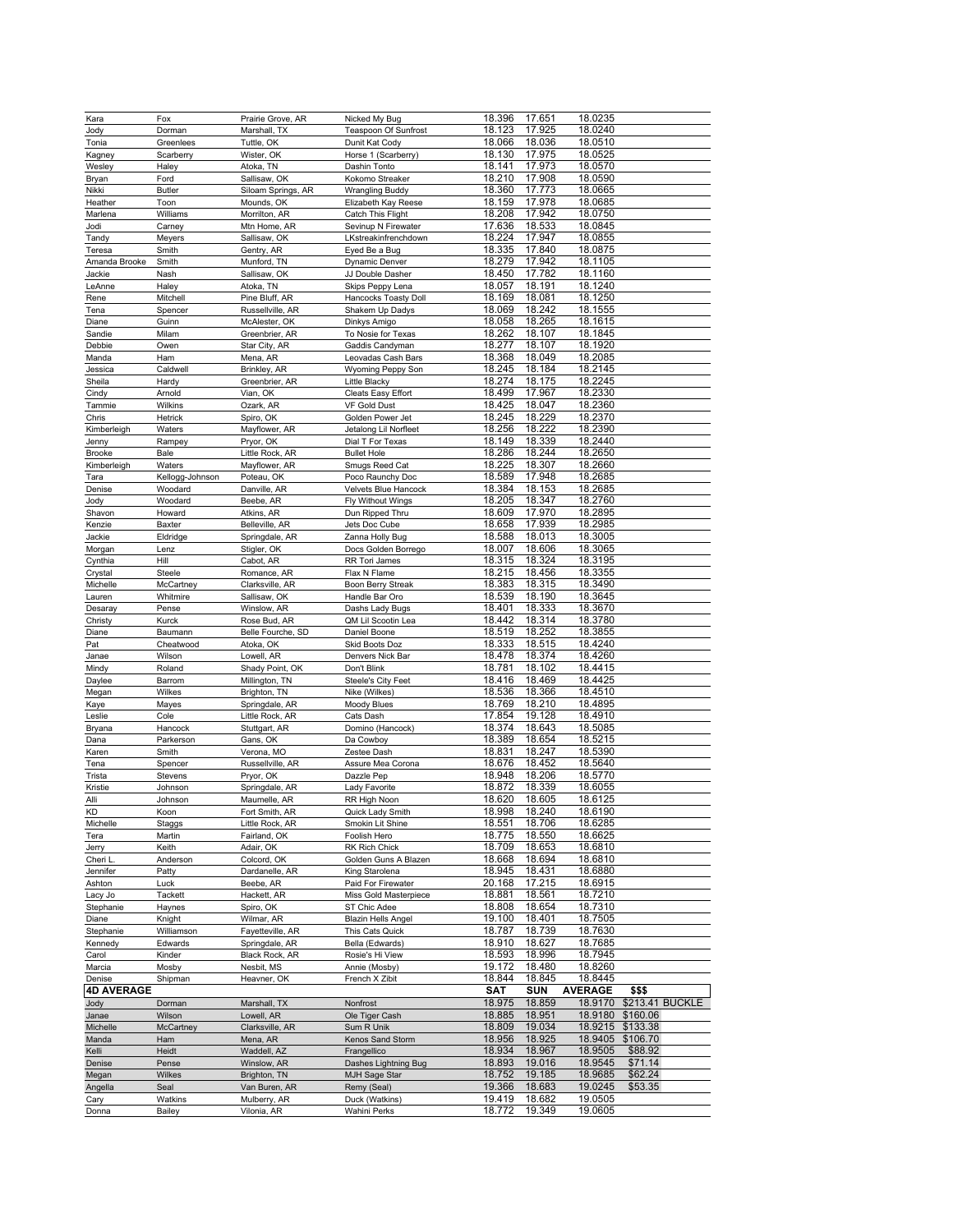| Kara              | Fox               | Prairie Grove, AR           | Nicked My Bug                         | 18.396           | 17.651           | 18.0235            |                 |
|-------------------|-------------------|-----------------------------|---------------------------------------|------------------|------------------|--------------------|-----------------|
|                   |                   |                             |                                       |                  |                  |                    |                 |
| Jody              | Dorman            | Marshall, TX                | <b>Teaspoon Of Sunfrost</b>           | 18.123           | 17.925           | 18.0240            |                 |
| Tonia             | Greenlees         | Tuttle, OK                  | Dunit Kat Cody                        | 18.066           | 18.036           | 18.0510            |                 |
| Kagney            | Scarberry         | Wister, OK                  | Horse 1 (Scarberry)                   | 18.130           | 17.975           | 18.0525            |                 |
| Wesley            | Haley             | Atoka, TN                   | Dashin Tonto                          | 18.141           | 17.973           | 18.0570            |                 |
| Bryan             | Ford              | Sallisaw, OK                | Kokomo Streaker                       | 18.210           | 17.908           | 18.0590            |                 |
|                   |                   |                             |                                       |                  |                  |                    |                 |
| Nikki             | <b>Butler</b>     | Siloam Springs, AR          | <b>Wrangling Buddy</b>                | 18.360           | 17.773           | 18.0665            |                 |
| Heather           | Toon              | Mounds, OK                  | Elizabeth Kay Reese                   | 18.159           | 17.978           | 18.0685            |                 |
| Marlena           | Williams          | Morrilton, AR               | Catch This Flight                     | 18.208           | 17.942           | 18.0750            |                 |
| Jodi              | Carney            | Mtn Home, AR                | Sevinup N Firewater                   | 17.636           | 18.533           | 18.0845            |                 |
|                   |                   |                             |                                       |                  |                  |                    |                 |
| Tandy             | Meyers            | Sallisaw, OK                | LKstreakinfrenchdown                  | 18.224           | 17.947           | 18.0855            |                 |
| Teresa            | Smith             | Gentry, AR                  | Eyed Be a Bug                         | 18.335           | 17.840           | 18.0875            |                 |
| Amanda Brooke     | Smith             | Munford, TN                 | Dynamic Denver                        | 18.279           | 17.942           | 18.1105            |                 |
| Jackie            | Nash              | Sallisaw, OK                | JJ Double Dasher                      | 18.450           | 17.782           | 18.1160            |                 |
|                   |                   |                             |                                       |                  |                  |                    |                 |
| LeAnne            | Haley             | Atoka, TN                   | Skips Peppy Lena                      | 18.057           | 18.191           | 18.1240            |                 |
| Rene              | Mitchell          | Pine Bluff, AR              | Hancocks Toasty Doll                  | 18.169           | 18.081           | 18.1250            |                 |
| Tena              | Spencer           | Russellville, AR            | Shakem Up Dadys                       | 18.069           | 18.242           | 18.1555            |                 |
| Diane             | Guinn             | McAlester, OK               | Dinkys Amigo                          | 18.058           | 18.265           | 18.1615            |                 |
|                   |                   |                             |                                       |                  |                  |                    |                 |
| Sandie            | Milam             | Greenbrier, AR              | To Nosie for Texas                    | 18.262           | 18.107           | 18.1845            |                 |
| Debbie            | Owen              | Star City, AR               | Gaddis Candyman                       | 18.277           | 18.107           | 18.1920            |                 |
| Manda             | Ham               | Mena, AR                    | Leovadas Cash Bars                    | 18.368           | 18.049           | 18.2085            |                 |
| Jessica           | Caldwell          | Brinkley, AR                | Wyoming Peppy Son                     | 18.245           | 18.184           | 18.2145            |                 |
|                   |                   |                             |                                       |                  |                  |                    |                 |
| Sheila            | Hardy             | Greenbrier, AR              | Little Blacky                         | 18.274           | 18.175           | 18.2245            |                 |
| Cindy             | Arnold            | Vian, OK                    | Cleats Easy Effort                    | 18.499           | 17.967           | 18.2330            |                 |
| Tammie            | Wilkins           | Ozark, AR                   | VF Gold Dust                          | 18.425           | 18.047           | 18.2360            |                 |
| Chris             | Hetrick           | Spiro, OK                   | Golden Power Jet                      | 18.245           | 18.229           | 18.2370            |                 |
|                   |                   |                             |                                       | 18.256           |                  |                    |                 |
| Kimberleigh       | Waters            | Mayflower, AR               | Jetalong Lil Norfleet                 |                  | 18.222           | 18.2390            |                 |
| Jenny             | Rampey            | Pryor, OK                   | Dial T For Texas                      | 18.149           | 18.339           | 18.2440            |                 |
| Brooke            | Bale              | Little Rock, AR             | <b>Bullet Hole</b>                    | 18.286           | 18.244           | 18.2650            |                 |
| Kimberleigh       | Waters            | Mayflower, AR               | Smugs Reed Cat                        | 18.225           | 18.307           | 18.2660            |                 |
|                   |                   |                             |                                       |                  |                  |                    |                 |
| Tara              | Kellogg-Johnson   | Poteau, OK                  | Poco Raunchy Doc                      | 18.589           | 17.948           | 18.2685            |                 |
| Denise            | Woodard           | Danville, AR                | Velvets Blue Hancock                  | 18.384           | 18.153           | 18.2685            |                 |
| Jody              | Woodard           | Beebe, AR                   | Fly Without Wings                     | 18.205           | 18.347           | 18.2760            |                 |
|                   |                   |                             |                                       | 18.609           | 17.970           | 18.2895            |                 |
| Shavon            | Howard            | Atkins, AR                  | Dun Ripped Thru                       |                  |                  |                    |                 |
| Kenzie            | Baxter            | Belleville, AR              | Jets Doc Cube                         | 18.658           | 17,939           | 18.2985            |                 |
| Jackie            | Eldridge          | Springdale, AR              | Zanna Holly Bug                       | 18.588           | 18.013           | 18.3005            |                 |
| Morgan            | Lenz              | Stigler, OK                 | Docs Golden Borrego                   | 18.007           | 18.606           | 18.3065            |                 |
|                   |                   |                             |                                       |                  |                  |                    |                 |
| Cynthia           | Hill              | Cabot, AR                   | RR Tori James                         | 18.315           | 18.324           | 18.3195            |                 |
| Crystal           | Steele            | Romance, AR                 | Flax N Flame                          | 18.215           | 18.456           | 18.3355            |                 |
| Michelle          | McCartney         | Clarksville, AR             | Boon Berry Streak                     | 18.383           | 18.315           | 18.3490            |                 |
| Lauren            | Whitmire          | Sallisaw, OK                | Handle Bar Oro                        | 18.539           | 18.190           | 18.3645            |                 |
|                   |                   |                             |                                       |                  |                  |                    |                 |
| Desaray           | Pense             | Winslow, AR                 | Dashs Lady Bugs                       | 18.401           | 18.333           | 18.3670            |                 |
|                   |                   |                             |                                       |                  |                  |                    |                 |
| Christy           | Kurck             | Rose Bud, AR                | QM Lil Scootin Lea                    | 18.442           | 18.314           | 18.3780            |                 |
|                   |                   |                             |                                       |                  |                  |                    |                 |
| Diane             | Baumann           | Belle Fourche, SD           | Daniel Boone                          | 18.519           | 18.252           | 18.3855            |                 |
| Pat               | Cheatwood         | Atoka, OK                   | Skid Boots Doz                        | 18.333           | 18.515           | 18.4240            |                 |
| Janae             | Wilson            | Lowell, AR                  | Denvers Nick Bar                      | 18.478           | 18.374           | 18.4260            |                 |
| Mindy             | Roland            | Shady Point, OK             | Don't Blink                           | 18.781           | 18.102           | 18.4415            |                 |
|                   |                   |                             |                                       |                  |                  |                    |                 |
| Daylee            | Barrom            | Millington, TN              | Steele's City Feet                    | 18.416           | 18.469           | 18.4425            |                 |
| Megan             | Wilkes            | Brighton, TN                | Nike (Wilkes)                         | 18.536           | 18.366           | 18.4510            |                 |
| Kaye              | Mayes             | Springdale, AR              | Moody Blues                           | 18.769           | 18.210           | 18.4895            |                 |
| Leslie            | Cole              | Little Rock, AR             | Cats Dash                             | 17.854           | 19.128           | 18.4910            |                 |
|                   |                   |                             |                                       |                  |                  |                    |                 |
| Bryana            | Hancock           | Stuttgart, AR               | Domino (Hancock)                      | 18.374           | 18.643           | 18.5085            |                 |
| Dana              | Parkerson         | Gans, OK                    | Da Cowboy                             | 18.389           | 18.654           | 18.5215            |                 |
| Karen             | Smith             | Verona, MO                  | Zestee Dash                           | 18.831           | 18.247           | 18.5390            |                 |
| Tena              | Spencer           | Russellville, AR            | Assure Mea Corona                     | 18.676           | 18.452           | 18.5640            |                 |
|                   |                   | Pryor, OK                   | Dazzle Pep                            |                  |                  |                    |                 |
| Trista            | Stevens           |                             |                                       | 18.948           | 18.206           | 18.5770            |                 |
| Kristie           | Johnson           | Springdale, AR              | Lady Favorite                         | 18.872           | 18.339           | 18.6055            |                 |
| Alli              | Johnson           | Maumelle, AR                | RR High Noon                          | 18.620           | 18.605           | 18.6125            |                 |
| KD                | Koon              | Fort Smith, AR              | Quick Lady Smith                      | 18.998           | 18.240           | 18.6190            |                 |
| Michelle          | Staggs            | Little Rock, AR             | Smokin Lit Shine                      | 18.551           | 18.706           | 18.6285            |                 |
|                   |                   |                             |                                       | 18.775           |                  |                    |                 |
| Tera              | Martin            | Fairland, OK                | Foolish Hero                          |                  | 18.550           | 18.6625            |                 |
| Jerry             | Keith             | Adair, OK                   | RK Rich Chick                         | 18.709           | 18.653           | 18.6810            |                 |
| Cheri L           | Anderson          | Colcord, OK                 | Golden Guns A Blazen                  | 18.668           | 18.694           | 18.6810            |                 |
| Jennifer          | Patty             | Dardanelle, AR              | King Starolena                        | 18.945           | 18.431           | 18.6880            |                 |
|                   |                   |                             |                                       | 20.168           |                  |                    |                 |
| Ashton            | Luck              | Beebe, AR                   | Paid For Firewater                    |                  | 17.215           | 18.6915            |                 |
| Lacy Jo           | Tackett           | Hackett, AR                 | Miss Gold Masterpiece                 | 18.881           | 18.561           | 18.7210            |                 |
| Stephanie         | Haynes            | Spiro, OK                   | ST Chic Adee                          | 18.808           | 18.654           | 18.7310            |                 |
| Diane             | Knight            | Wilmar, AR                  | <b>Blazin Hells Angel</b>             | 19.100           | 18.401           | 18.7505            |                 |
|                   | Williamson        | Fayetteville, AR            | This Cats Quick                       | 18.787           | 18.739           | 18.7630            |                 |
| Stephanie         |                   |                             |                                       |                  |                  |                    |                 |
| Kennedy           | Edwards           | Springdale, AR              | Bella (Edwards)                       | 18.910           | 18.627           | 18.7685            |                 |
| Carol             | Kinder            | Black Rock, AR              | Rosie's Hi View                       | 18.593           | 18.996           | 18.7945            |                 |
| Marcia            | Mosby             | Nesbit, MS                  | Annie (Mosby)                         | 19.172           | 18.480           | 18.8260            |                 |
| Denise            |                   |                             |                                       |                  |                  |                    |                 |
|                   | Shipman           | Heavner, OK                 | French X Zibit                        | 18.844           | 18.845           | 18.8445            |                 |
| <b>4D AVERAGE</b> |                   |                             |                                       | <b>SAT</b>       | <b>SUN</b>       | <b>AVERAGE</b>     | \$\$\$          |
| Jody              | Dorman            | Marshall, TX                | Nonfrost                              | 18.975           | 18.859           | 18.9170            | \$213.41 BUCKLE |
| Janae             | Wilson            | Lowell, AR                  | Ole Tiger Cash                        | 18.885           | 18.951           | 18.9180            | \$160.06        |
|                   |                   |                             |                                       |                  | 19.034           |                    |                 |
| Michelle          | McCartney         | Clarksville, AR             | Sum R Unik                            | 18.809           |                  | 18.9215            | \$133.38        |
| Manda             | Ham               | Mena, AR                    | Kenos Sand Storm                      | 18.956           | 18.925           | 18.9405            | \$106.70        |
| Kelli             | Heidt             | Waddell, AZ                 | Frangellico                           | 18.934           | 18.967           | 18.9505            | \$88.92         |
| Denise            | Pense             | Winslow, AR                 | Dashes Lightning Bug                  | 18.893           | 19.016           | 18.9545            | \$71.14         |
|                   | Wilkes            | Brighton, TN                | MJH Sage Star                         | 18.752           | 19.185           | 18.9685            | \$62.24         |
| Megan             |                   |                             |                                       |                  |                  |                    |                 |
| Angella           | Seal              | Van Buren, AR               | Remy (Seal)                           | 19.366           | 18.683           | 19.0245            | \$53.35         |
| Cary<br>Donna     | Watkins<br>Bailey | Mulberry, AR<br>Vilonia, AR | Duck (Watkins)<br><b>Wahini Perks</b> | 19.419<br>18.772 | 18.682<br>19.349 | 19.0505<br>19.0605 |                 |